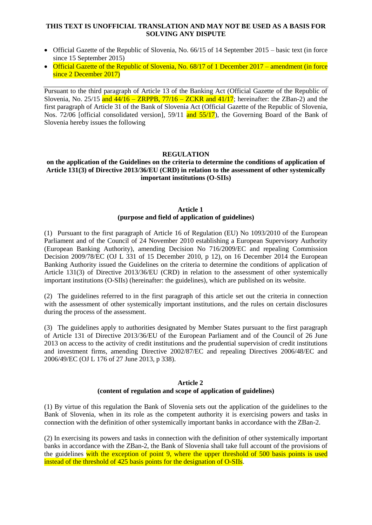#### **THIS TEXT IS UNOFFICIAL TRANSLATION AND MAY NOT BE USED AS A BASIS FOR SOLVING ANY DISPUTE**

- Official Gazette of the Republic of Slovenia, No. 66/15 of 14 September 2015 basic text (in force since 15 September 2015)
- Official Gazette of the Republic of Slovenia, No. 68/17 of 1 December 2017 amendment (in force since 2 December 2017)

Pursuant to the third paragraph of Article 13 of the Banking Act (Official Gazette of the Republic of Slovenia, No. 25/15 and  $\frac{44}{16} - \frac{ZRPPB}{77/16} - \frac{ZCKR}{16}$  and  $\frac{41}{17}$ ; hereinafter: the ZBan-2) and the first paragraph of Article 31 of the Bank of Slovenia Act (Official Gazette of the Republic of Slovenia, Nos. 72/06 [official consolidated version], 59/11 and 55/17), the Governing Board of the Bank of Slovenia hereby issues the following

## **REGULATION**

#### **on the application of the Guidelines on the criteria to determine the conditions of application of Article 131(3) of Directive 2013/36/EU (CRD) in relation to the assessment of other systemically important institutions (O-SIIs)**

## **Article 1 (purpose and field of application of guidelines)**

(1) Pursuant to the first paragraph of Article 16 of Regulation (EU) No 1093/2010 of the European Parliament and of the Council of 24 November 2010 establishing a European Supervisory Authority (European Banking Authority), amending Decision No 716/2009/EC and repealing Commission Decision 2009/78/EC (OJ L 331 of 15 December 2010, p 12), on 16 December 2014 the European Banking Authority issued the Guidelines on the criteria to determine the conditions of application of Article 131(3) of Directive 2013/36/EU (CRD) in relation to the assessment of other systemically important institutions (O-SIIs) (hereinafter: the guidelines), which are published on its website.

(2) The guidelines referred to in the first paragraph of this article set out the criteria in connection with the assessment of other systemically important institutions, and the rules on certain disclosures during the process of the assessment.

(3) The guidelines apply to authorities designated by Member States pursuant to the first paragraph of Article 131 of Directive 2013/36/EU of the European Parliament and of the Council of 26 June 2013 on access to the activity of credit institutions and the prudential supervision of credit institutions and investment firms, amending Directive 2002/87/EC and repealing Directives 2006/48/EC and 2006/49/EC (OJ L 176 of 27 June 2013, p 338).

#### **Article 2 (content of regulation and scope of application of guidelines)**

(1) By virtue of this regulation the Bank of Slovenia sets out the application of the guidelines to the Bank of Slovenia, when in its role as the competent authority it is exercising powers and tasks in connection with the definition of other systemically important banks in accordance with the ZBan-2.

(2) In exercising its powers and tasks in connection with the definition of other systemically important banks in accordance with the ZBan-2, the Bank of Slovenia shall take full account of the provisions of the guidelines with the exception of point 9, where the upper threshold of 500 basis points is used instead of the threshold of 425 basis points for the designation of O-SIIs.